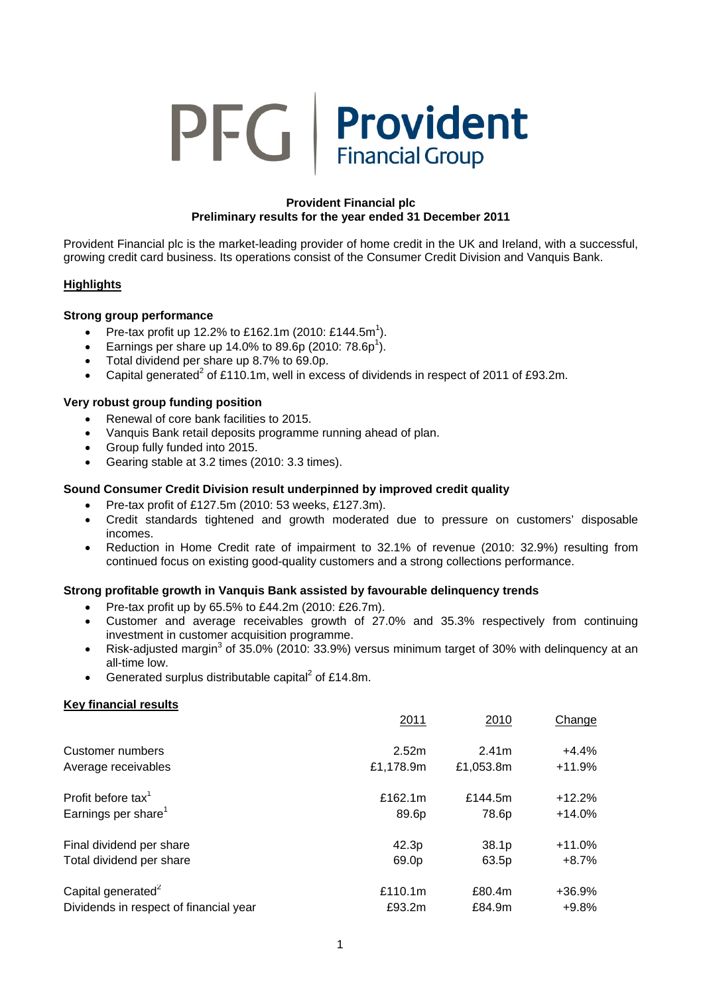# PFG | Provident

# **Provident Financial plc Preliminary results for the year ended 31 December 2011**

Provident Financial plc is the market-leading provider of home credit in the UK and Ireland, with a successful, growing credit card business. Its operations consist of the Consumer Credit Division and Vanquis Bank.

# **Highlights**

# **Strong group performance**

- Pre-tax profit up 12.2% to £162.1m (2010: £144.5m<sup>1</sup>).
- **•** Earnings per share up 14.0% to 89.6p (2010: 78.6p<sup>1</sup>).
- Total dividend per share up 8.7% to 69.0p.
- Capital generated<sup>2</sup> of £110.1m, well in excess of dividends in respect of 2011 of £93.2m.

# **Very robust group funding position**

- Renewal of core bank facilities to 2015.
- Vanquis Bank retail deposits programme running ahead of plan.
- Group fully funded into 2015.
- Gearing stable at 3.2 times (2010: 3.3 times).

# **Sound Consumer Credit Division result underpinned by improved credit quality**

- Pre-tax profit of £127.5m (2010: 53 weeks, £127.3m).
- Credit standards tightened and growth moderated due to pressure on customers' disposable incomes.
- Reduction in Home Credit rate of impairment to 32.1% of revenue (2010: 32.9%) resulting from continued focus on existing good-quality customers and a strong collections performance.

#### **Strong profitable growth in Vanquis Bank assisted by favourable delinquency trends**

- Pre-tax profit up by  $65.5\%$  to £44.2m (2010: £26.7m).
- Customer and average receivables growth of 27.0% and 35.3% respectively from continuing investment in customer acquisition programme.
- Risk-adjusted margin<sup>3</sup> of 35.0% (2010: 33.9%) versus minimum target of 30% with delinquency at an all-time low.
- Generated surplus distributable capital<sup>2</sup> of £14.8m.

#### **Key financial results**

|                                        | 2011      | 2010              | Change    |
|----------------------------------------|-----------|-------------------|-----------|
| Customer numbers                       | 2.52m     | 2.41 <sub>m</sub> | $+4.4%$   |
| Average receivables                    | £1,178.9m | £1,053.8m         | $+11.9%$  |
| Profit before tax <sup>1</sup>         | £162.1m   | £144.5m           | $+12.2%$  |
| Earnings per share <sup>1</sup>        | 89.6p     | 78.6p             | $+14.0\%$ |
| Final dividend per share               | 42.3p     | 38.1p             | $+11.0%$  |
| Total dividend per share               | 69.0p     | 63.5p             | $+8.7\%$  |
| Capital generated <sup>2</sup>         | £110.1m   | £80.4m            | $+36.9%$  |
| Dividends in respect of financial year | £93.2m    | £84.9m            | $+9.8%$   |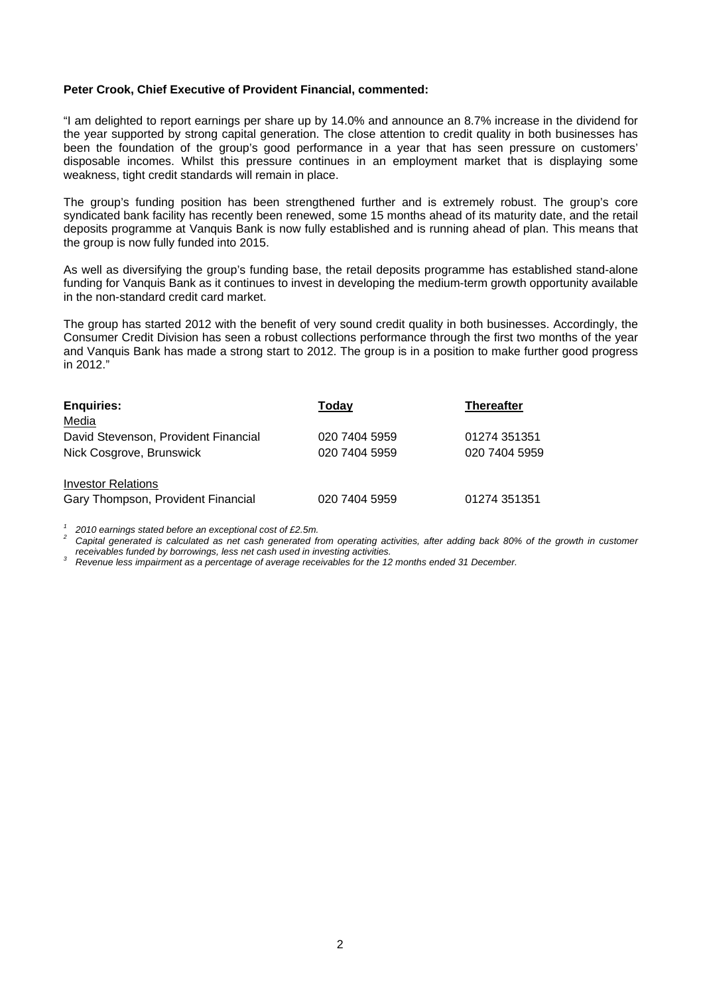#### **Peter Crook, Chief Executive of Provident Financial, commented:**

"I am delighted to report earnings per share up by 14.0% and announce an 8.7% increase in the dividend for the year supported by strong capital generation. The close attention to credit quality in both businesses has been the foundation of the group's good performance in a year that has seen pressure on customers' disposable incomes. Whilst this pressure continues in an employment market that is displaying some weakness, tight credit standards will remain in place.

The group's funding position has been strengthened further and is extremely robust. The group's core syndicated bank facility has recently been renewed, some 15 months ahead of its maturity date, and the retail deposits programme at Vanquis Bank is now fully established and is running ahead of plan. This means that the group is now fully funded into 2015.

As well as diversifying the group's funding base, the retail deposits programme has established stand-alone funding for Vanquis Bank as it continues to invest in developing the medium-term growth opportunity available in the non-standard credit card market.

The group has started 2012 with the benefit of very sound credit quality in both businesses. Accordingly, the Consumer Credit Division has seen a robust collections performance through the first two months of the year and Vanquis Bank has made a strong start to 2012. The group is in a position to make further good progress in 2012."

| <b>Enquiries:</b>                    | Today         | <b>Thereafter</b> |
|--------------------------------------|---------------|-------------------|
| Media                                |               |                   |
| David Stevenson, Provident Financial | 020 7404 5959 | 01274 351351      |
| Nick Cosgrove, Brunswick             | 020 7404 5959 | 020 7404 5959     |
| <b>Investor Relations</b>            |               |                   |
| Gary Thompson, Provident Financial   | 020 7404 5959 | 01274 351351      |

2010 earnings stated before an exceptional cost of £2.5m.<br>Capital generated is calculated as net cash generated from operating activities, after adding back 80% of the growth in customer<br>receivables funded by borrowings, l

*receivables funded by borrowings, less net cash used in investing activities. 3 Revenue less impairment as a percentage of average receivables for the 12 months ended 31 December.*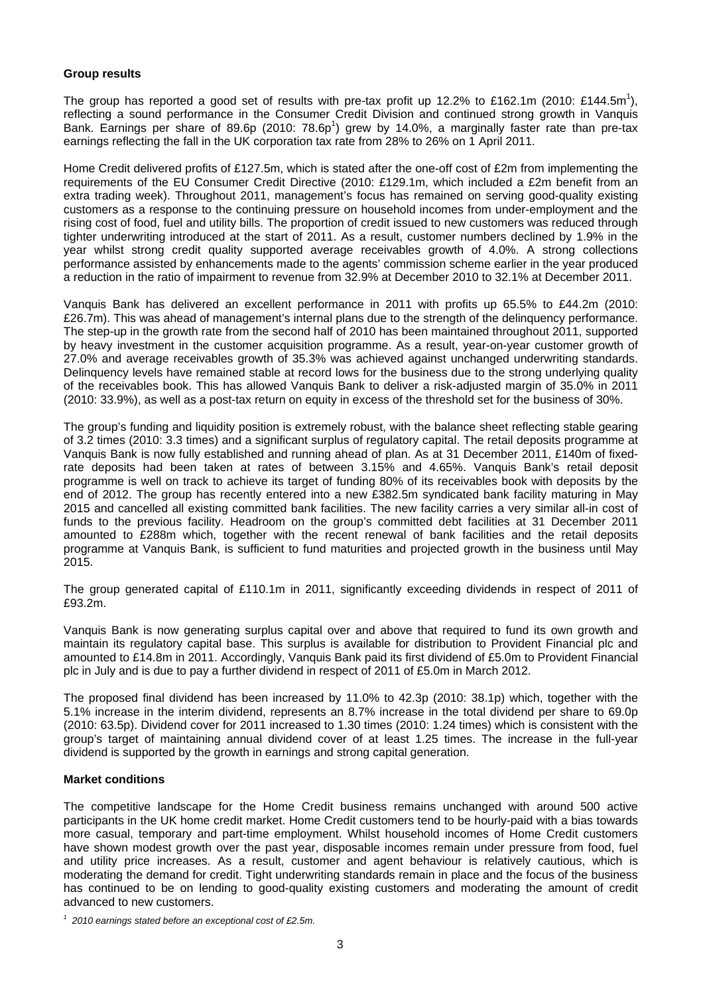# **Group results**

The group has reported a good set of results with pre-tax profit up 12.2% to £162.1m (2010: £144.5m<sup>1</sup>), reflecting a sound performance in the Consumer Credit Division and continued strong growth in Vanquis Bank. Earnings per share of 89.6p (2010:  $78.6p<sup>1</sup>$ ) grew by 14.0%, a marginally faster rate than pre-tax earnings reflecting the fall in the UK corporation tax rate from 28% to 26% on 1 April 2011.

Home Credit delivered profits of £127.5m, which is stated after the one-off cost of £2m from implementing the requirements of the EU Consumer Credit Directive (2010: £129.1m, which included a £2m benefit from an extra trading week). Throughout 2011, management's focus has remained on serving good-quality existing customers as a response to the continuing pressure on household incomes from under-employment and the rising cost of food, fuel and utility bills. The proportion of credit issued to new customers was reduced through tighter underwriting introduced at the start of 2011. As a result, customer numbers declined by 1.9% in the year whilst strong credit quality supported average receivables growth of 4.0%. A strong collections performance assisted by enhancements made to the agents' commission scheme earlier in the year produced a reduction in the ratio of impairment to revenue from 32.9% at December 2010 to 32.1% at December 2011.

Vanquis Bank has delivered an excellent performance in 2011 with profits up 65.5% to £44.2m (2010: £26.7m). This was ahead of management's internal plans due to the strength of the delinquency performance. The step-up in the growth rate from the second half of 2010 has been maintained throughout 2011, supported by heavy investment in the customer acquisition programme. As a result, year-on-year customer growth of 27.0% and average receivables growth of 35.3% was achieved against unchanged underwriting standards. Delinquency levels have remained stable at record lows for the business due to the strong underlying quality of the receivables book. This has allowed Vanquis Bank to deliver a risk-adjusted margin of 35.0% in 2011 (2010: 33.9%), as well as a post-tax return on equity in excess of the threshold set for the business of 30%.

The group's funding and liquidity position is extremely robust, with the balance sheet reflecting stable gearing of 3.2 times (2010: 3.3 times) and a significant surplus of regulatory capital. The retail deposits programme at Vanquis Bank is now fully established and running ahead of plan. As at 31 December 2011, £140m of fixedrate deposits had been taken at rates of between 3.15% and 4.65%. Vanquis Bank's retail deposit programme is well on track to achieve its target of funding 80% of its receivables book with deposits by the end of 2012. The group has recently entered into a new £382.5m syndicated bank facility maturing in May 2015 and cancelled all existing committed bank facilities. The new facility carries a very similar all-in cost of funds to the previous facility. Headroom on the group's committed debt facilities at 31 December 2011 amounted to £288m which, together with the recent renewal of bank facilities and the retail deposits programme at Vanquis Bank, is sufficient to fund maturities and projected growth in the business until May 2015.

The group generated capital of £110.1m in 2011, significantly exceeding dividends in respect of 2011 of £93.2m.

Vanquis Bank is now generating surplus capital over and above that required to fund its own growth and maintain its regulatory capital base. This surplus is available for distribution to Provident Financial plc and amounted to £14.8m in 2011. Accordingly, Vanquis Bank paid its first dividend of £5.0m to Provident Financial plc in July and is due to pay a further dividend in respect of 2011 of £5.0m in March 2012.

The proposed final dividend has been increased by 11.0% to 42.3p (2010: 38.1p) which, together with the 5.1% increase in the interim dividend, represents an 8.7% increase in the total dividend per share to 69.0p (2010: 63.5p). Dividend cover for 2011 increased to 1.30 times (2010: 1.24 times) which is consistent with the group's target of maintaining annual dividend cover of at least 1.25 times. The increase in the full-year dividend is supported by the growth in earnings and strong capital generation.

# **Market conditions**

The competitive landscape for the Home Credit business remains unchanged with around 500 active participants in the UK home credit market. Home Credit customers tend to be hourly-paid with a bias towards more casual, temporary and part-time employment. Whilst household incomes of Home Credit customers have shown modest growth over the past year, disposable incomes remain under pressure from food, fuel and utility price increases. As a result, customer and agent behaviour is relatively cautious, which is moderating the demand for credit. Tight underwriting standards remain in place and the focus of the business has continued to be on lending to good-quality existing customers and moderating the amount of credit advanced to new customers.

*<sup>1 2010</sup> earnings stated before an exceptional cost of £2.5m.*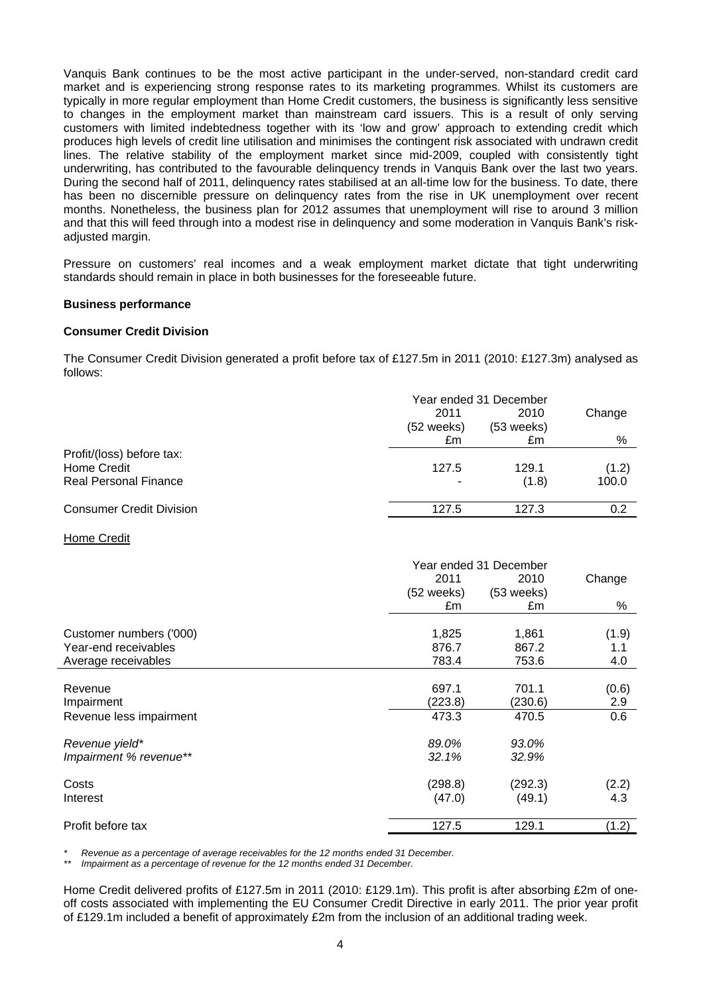Vanquis Bank continues to be the most active participant in the under-served, non-standard credit card market and is experiencing strong response rates to its marketing programmes. Whilst its customers are typically in more regular employment than Home Credit customers, the business is significantly less sensitive to changes in the employment market than mainstream card issuers. This is a result of only serving customers with limited indebtedness together with its 'low and grow' approach to extending credit which produces high levels of credit line utilisation and minimises the contingent risk associated with undrawn credit lines. The relative stability of the employment market since mid-2009, coupled with consistently tight underwriting, has contributed to the favourable delinquency trends in Vanquis Bank over the last two years. During the second half of 2011, delinquency rates stabilised at an all-time low for the business. To date, there has been no discernible pressure on delinquency rates from the rise in UK unemployment over recent months. Nonetheless, the business plan for 2012 assumes that unemployment will rise to around 3 million and that this will feed through into a modest rise in delinquency and some moderation in Vanquis Bank's riskadjusted margin.

Pressure on customers' real incomes and a weak employment market dictate that tight underwriting standards should remain in place in both businesses for the foreseeable future.

#### **Business performance**

#### **Consumer Credit Division**

The Consumer Credit Division generated a profit before tax of £127.5m in 2011 (2010: £127.3m) analysed as follows:

|                                 | Year ended 31 December |                      |        |
|---------------------------------|------------------------|----------------------|--------|
|                                 | 2011<br>$(52$ weeks)   | 2010<br>$(53$ weeks) | Change |
|                                 | £m                     | £m                   | %      |
| Profit/(loss) before tax:       |                        |                      |        |
| Home Credit                     | 127.5                  | 129.1                | (1.2)  |
| <b>Real Personal Finance</b>    |                        | (1.8)                | 100.0  |
|                                 |                        |                      |        |
| <b>Consumer Credit Division</b> | 127.5                  | 127.3                | 0.2    |

#### Home Credit

|                         | Year ended 31 December |              |        |
|-------------------------|------------------------|--------------|--------|
|                         | 2011                   | 2010         | Change |
|                         | (52 weeks)             | $(53$ weeks) |        |
|                         | £m                     | £m           | %      |
|                         |                        |              |        |
| Customer numbers ('000) | 1,825                  | 1,861        | (1.9)  |
| Year-end receivables    | 876.7                  | 867.2        | 1.1    |
| Average receivables     | 783.4                  | 753.6        | 4.0    |
|                         |                        |              |        |
| Revenue                 | 697.1                  | 701.1        | (0.6)  |
| Impairment              | (223.8)                | (230.6)      | 2.9    |
| Revenue less impairment | 473.3                  | 470.5        | 0.6    |
| Revenue yield*          | 89.0%                  | 93.0%        |        |
| Impairment % revenue**  | 32.1%                  | 32.9%        |        |
| Costs                   | (298.8)                | (292.3)      | (2.2)  |
| Interest                | (47.0)                 | (49.1)       | 4.3    |
|                         |                        |              |        |
| Profit before tax       | 127.5                  | 129.1        | (1.2)  |

*\* Revenue as a percentage of average receivables for the 12 months ended 31 December.* 

*Impairment as a percentage of revenue for the 12 months ended 31 December.* 

Home Credit delivered profits of £127.5m in 2011 (2010: £129.1m). This profit is after absorbing £2m of oneoff costs associated with implementing the EU Consumer Credit Directive in early 2011. The prior year profit of £129.1m included a benefit of approximately £2m from the inclusion of an additional trading week.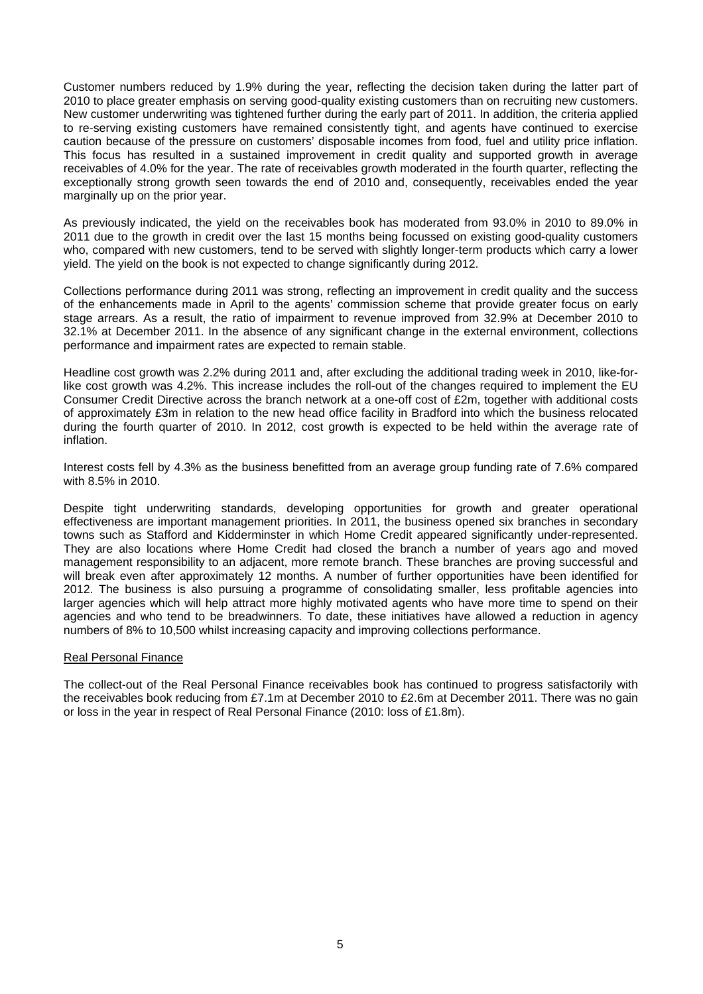Customer numbers reduced by 1.9% during the year, reflecting the decision taken during the latter part of 2010 to place greater emphasis on serving good-quality existing customers than on recruiting new customers. New customer underwriting was tightened further during the early part of 2011. In addition, the criteria applied to re-serving existing customers have remained consistently tight, and agents have continued to exercise caution because of the pressure on customers' disposable incomes from food, fuel and utility price inflation. This focus has resulted in a sustained improvement in credit quality and supported growth in average receivables of 4.0% for the year. The rate of receivables growth moderated in the fourth quarter, reflecting the exceptionally strong growth seen towards the end of 2010 and, consequently, receivables ended the year marginally up on the prior year.

As previously indicated, the yield on the receivables book has moderated from 93.0% in 2010 to 89.0% in 2011 due to the growth in credit over the last 15 months being focussed on existing good-quality customers who, compared with new customers, tend to be served with slightly longer-term products which carry a lower yield. The yield on the book is not expected to change significantly during 2012.

Collections performance during 2011 was strong, reflecting an improvement in credit quality and the success of the enhancements made in April to the agents' commission scheme that provide greater focus on early stage arrears. As a result, the ratio of impairment to revenue improved from 32.9% at December 2010 to 32.1% at December 2011. In the absence of any significant change in the external environment, collections performance and impairment rates are expected to remain stable.

Headline cost growth was 2.2% during 2011 and, after excluding the additional trading week in 2010, like-forlike cost growth was 4.2%. This increase includes the roll-out of the changes required to implement the EU Consumer Credit Directive across the branch network at a one-off cost of £2m, together with additional costs of approximately £3m in relation to the new head office facility in Bradford into which the business relocated during the fourth quarter of 2010. In 2012, cost growth is expected to be held within the average rate of inflation.

Interest costs fell by 4.3% as the business benefitted from an average group funding rate of 7.6% compared with 8.5% in 2010.

Despite tight underwriting standards, developing opportunities for growth and greater operational effectiveness are important management priorities. In 2011, the business opened six branches in secondary towns such as Stafford and Kidderminster in which Home Credit appeared significantly under-represented. They are also locations where Home Credit had closed the branch a number of years ago and moved management responsibility to an adjacent, more remote branch. These branches are proving successful and will break even after approximately 12 months. A number of further opportunities have been identified for 2012. The business is also pursuing a programme of consolidating smaller, less profitable agencies into larger agencies which will help attract more highly motivated agents who have more time to spend on their agencies and who tend to be breadwinners. To date, these initiatives have allowed a reduction in agency numbers of 8% to 10,500 whilst increasing capacity and improving collections performance.

#### Real Personal Finance

The collect-out of the Real Personal Finance receivables book has continued to progress satisfactorily with the receivables book reducing from £7.1m at December 2010 to £2.6m at December 2011. There was no gain or loss in the year in respect of Real Personal Finance (2010: loss of £1.8m).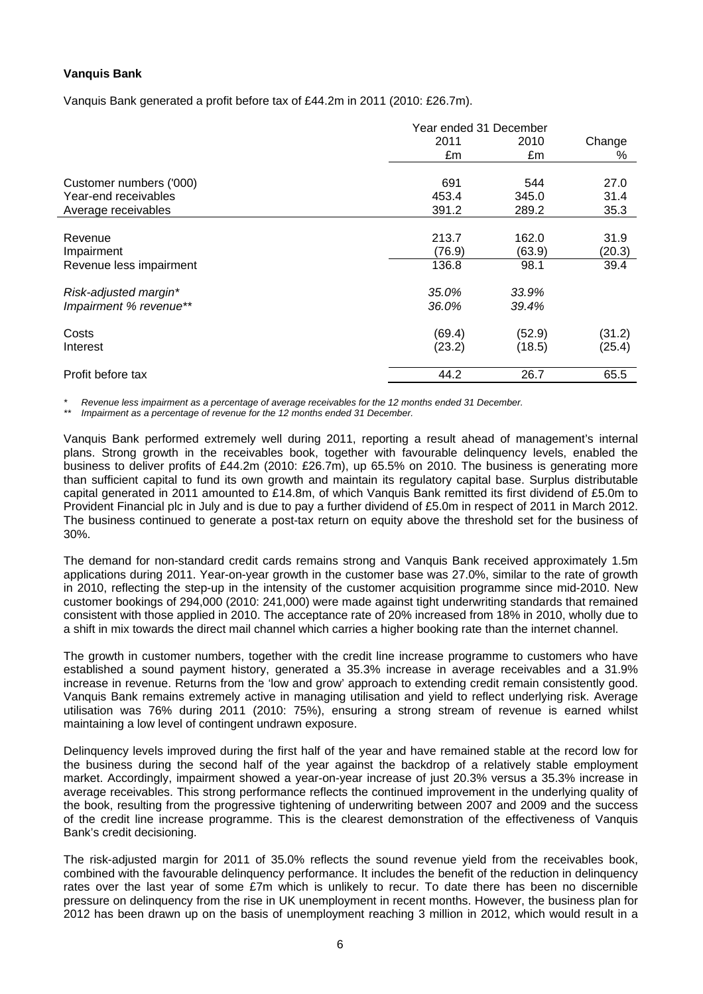# **Vanquis Bank**

Vanquis Bank generated a profit before tax of £44.2m in 2011 (2010: £26.7m).

|                         | Year ended 31 December |        |        |
|-------------------------|------------------------|--------|--------|
|                         | 2011                   | 2010   | Change |
|                         | £m                     | £m     | %      |
|                         |                        |        |        |
| Customer numbers ('000) | 691                    | 544    | 27.0   |
| Year-end receivables    | 453.4                  | 345.0  | 31.4   |
| Average receivables     | 391.2                  | 289.2  | 35.3   |
|                         |                        |        |        |
| Revenue                 | 213.7                  | 162.0  | 31.9   |
| Impairment              | (76.9)                 | (63.9) | (20.3) |
| Revenue less impairment | 136.8                  | 98.1   | 39.4   |
| Risk-adjusted margin*   | 35.0%                  | 33.9%  |        |
| Impairment % revenue**  | 36.0%                  | 39.4%  |        |
| Costs                   | (69.4)                 | (52.9) | (31.2) |
| Interest                | (23.2)                 | (18.5) | (25.4) |
| Profit before tax       | 44.2                   | 26.7   | 65.5   |

*\* Revenue less impairment as a percentage of average receivables for the 12 months ended 31 December.* 

*Impairment as a percentage of revenue for the 12 months ended 31 December.* 

Vanquis Bank performed extremely well during 2011, reporting a result ahead of management's internal plans. Strong growth in the receivables book, together with favourable delinquency levels, enabled the business to deliver profits of £44.2m (2010: £26.7m), up 65.5% on 2010. The business is generating more than sufficient capital to fund its own growth and maintain its regulatory capital base. Surplus distributable capital generated in 2011 amounted to £14.8m, of which Vanquis Bank remitted its first dividend of £5.0m to Provident Financial plc in July and is due to pay a further dividend of £5.0m in respect of 2011 in March 2012. The business continued to generate a post-tax return on equity above the threshold set for the business of 30%.

The demand for non-standard credit cards remains strong and Vanquis Bank received approximately 1.5m applications during 2011. Year-on-year growth in the customer base was 27.0%, similar to the rate of growth in 2010, reflecting the step-up in the intensity of the customer acquisition programme since mid-2010. New customer bookings of 294,000 (2010: 241,000) were made against tight underwriting standards that remained consistent with those applied in 2010. The acceptance rate of 20% increased from 18% in 2010, wholly due to a shift in mix towards the direct mail channel which carries a higher booking rate than the internet channel.

The growth in customer numbers, together with the credit line increase programme to customers who have established a sound payment history, generated a 35.3% increase in average receivables and a 31.9% increase in revenue. Returns from the 'low and grow' approach to extending credit remain consistently good. Vanquis Bank remains extremely active in managing utilisation and yield to reflect underlying risk. Average utilisation was 76% during 2011 (2010: 75%), ensuring a strong stream of revenue is earned whilst maintaining a low level of contingent undrawn exposure.

Delinquency levels improved during the first half of the year and have remained stable at the record low for the business during the second half of the year against the backdrop of a relatively stable employment market. Accordingly, impairment showed a year-on-year increase of just 20.3% versus a 35.3% increase in average receivables. This strong performance reflects the continued improvement in the underlying quality of the book, resulting from the progressive tightening of underwriting between 2007 and 2009 and the success of the credit line increase programme. This is the clearest demonstration of the effectiveness of Vanquis Bank's credit decisioning.

The risk-adjusted margin for 2011 of 35.0% reflects the sound revenue yield from the receivables book, combined with the favourable delinquency performance. It includes the benefit of the reduction in delinquency rates over the last year of some £7m which is unlikely to recur. To date there has been no discernible pressure on delinquency from the rise in UK unemployment in recent months. However, the business plan for 2012 has been drawn up on the basis of unemployment reaching 3 million in 2012, which would result in a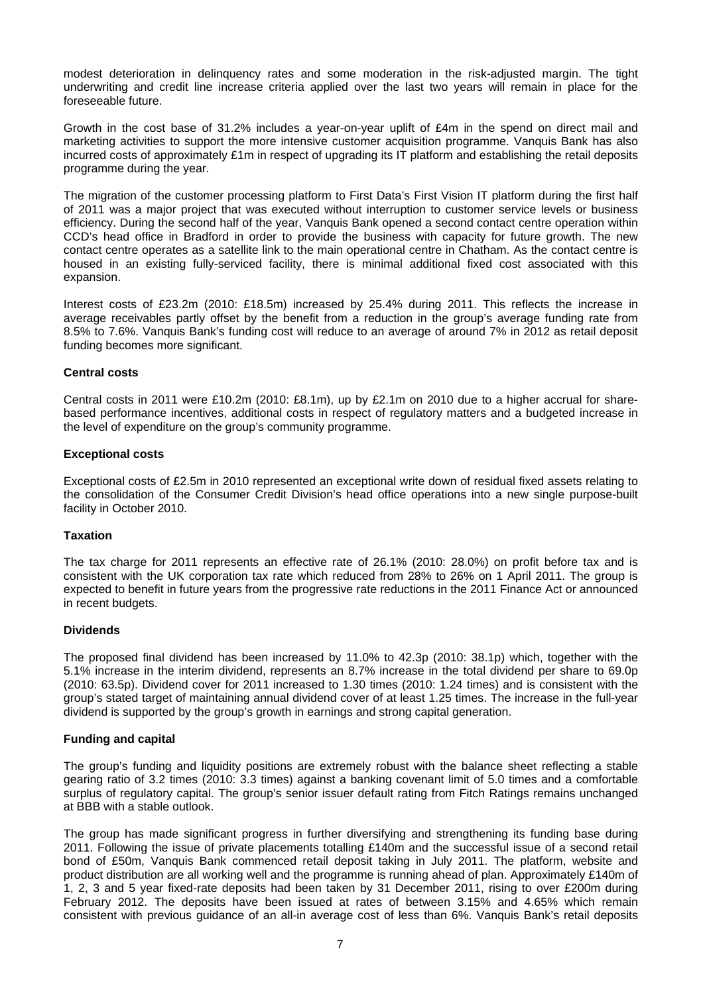modest deterioration in delinquency rates and some moderation in the risk-adjusted margin. The tight underwriting and credit line increase criteria applied over the last two years will remain in place for the foreseeable future.

Growth in the cost base of 31.2% includes a year-on-year uplift of £4m in the spend on direct mail and marketing activities to support the more intensive customer acquisition programme. Vanquis Bank has also incurred costs of approximately £1m in respect of upgrading its IT platform and establishing the retail deposits programme during the year.

The migration of the customer processing platform to First Data's First Vision IT platform during the first half of 2011 was a major project that was executed without interruption to customer service levels or business efficiency. During the second half of the year, Vanquis Bank opened a second contact centre operation within CCD's head office in Bradford in order to provide the business with capacity for future growth. The new contact centre operates as a satellite link to the main operational centre in Chatham. As the contact centre is housed in an existing fully-serviced facility, there is minimal additional fixed cost associated with this expansion.

Interest costs of £23.2m (2010: £18.5m) increased by 25.4% during 2011. This reflects the increase in average receivables partly offset by the benefit from a reduction in the group's average funding rate from 8.5% to 7.6%. Vanquis Bank's funding cost will reduce to an average of around 7% in 2012 as retail deposit funding becomes more significant.

# **Central costs**

Central costs in 2011 were £10.2m (2010: £8.1m), up by £2.1m on 2010 due to a higher accrual for sharebased performance incentives, additional costs in respect of regulatory matters and a budgeted increase in the level of expenditure on the group's community programme.

# **Exceptional costs**

Exceptional costs of £2.5m in 2010 represented an exceptional write down of residual fixed assets relating to the consolidation of the Consumer Credit Division's head office operations into a new single purpose-built facility in October 2010.

#### **Taxation**

The tax charge for 2011 represents an effective rate of 26.1% (2010: 28.0%) on profit before tax and is consistent with the UK corporation tax rate which reduced from 28% to 26% on 1 April 2011. The group is expected to benefit in future years from the progressive rate reductions in the 2011 Finance Act or announced in recent budgets.

#### **Dividends**

The proposed final dividend has been increased by 11.0% to 42.3p (2010: 38.1p) which, together with the 5.1% increase in the interim dividend, represents an 8.7% increase in the total dividend per share to 69.0p (2010: 63.5p). Dividend cover for 2011 increased to 1.30 times (2010: 1.24 times) and is consistent with the group's stated target of maintaining annual dividend cover of at least 1.25 times. The increase in the full-year dividend is supported by the group's growth in earnings and strong capital generation.

# **Funding and capital**

The group's funding and liquidity positions are extremely robust with the balance sheet reflecting a stable gearing ratio of 3.2 times (2010: 3.3 times) against a banking covenant limit of 5.0 times and a comfortable surplus of regulatory capital. The group's senior issuer default rating from Fitch Ratings remains unchanged at BBB with a stable outlook.

The group has made significant progress in further diversifying and strengthening its funding base during 2011. Following the issue of private placements totalling £140m and the successful issue of a second retail bond of £50m, Vanquis Bank commenced retail deposit taking in July 2011. The platform, website and product distribution are all working well and the programme is running ahead of plan. Approximately £140m of 1, 2, 3 and 5 year fixed-rate deposits had been taken by 31 December 2011, rising to over £200m during February 2012. The deposits have been issued at rates of between 3.15% and 4.65% which remain consistent with previous guidance of an all-in average cost of less than 6%. Vanquis Bank's retail deposits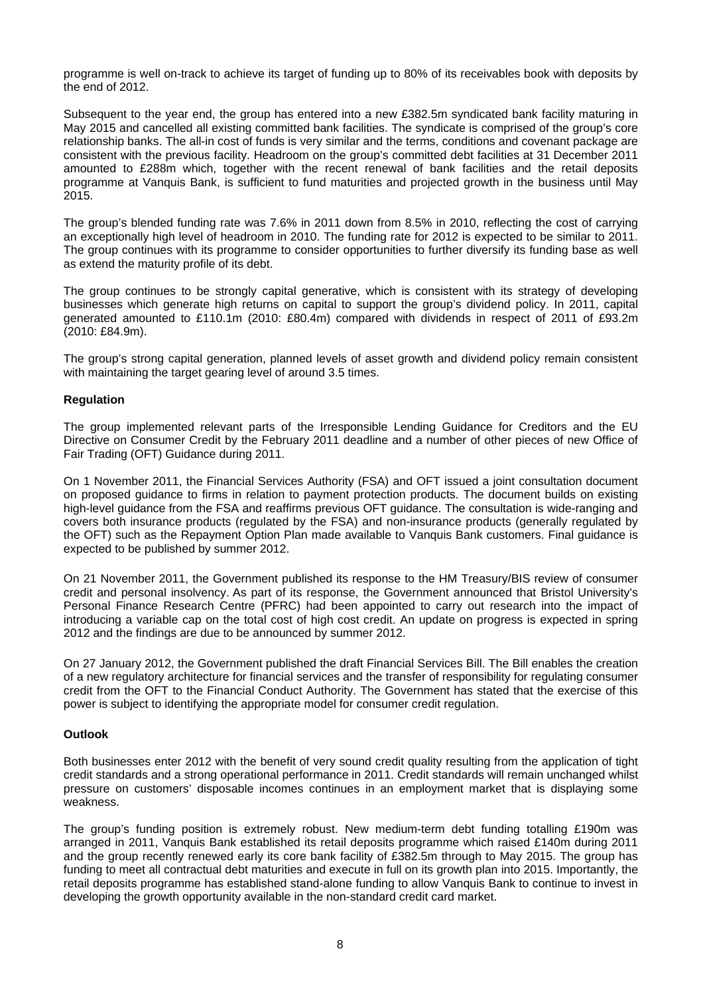programme is well on-track to achieve its target of funding up to 80% of its receivables book with deposits by the end of 2012.

Subsequent to the year end, the group has entered into a new £382.5m syndicated bank facility maturing in May 2015 and cancelled all existing committed bank facilities. The syndicate is comprised of the group's core relationship banks. The all-in cost of funds is very similar and the terms, conditions and covenant package are consistent with the previous facility. Headroom on the group's committed debt facilities at 31 December 2011 amounted to £288m which, together with the recent renewal of bank facilities and the retail deposits programme at Vanquis Bank, is sufficient to fund maturities and projected growth in the business until May 2015.

The group's blended funding rate was 7.6% in 2011 down from 8.5% in 2010, reflecting the cost of carrying an exceptionally high level of headroom in 2010. The funding rate for 2012 is expected to be similar to 2011. The group continues with its programme to consider opportunities to further diversify its funding base as well as extend the maturity profile of its debt.

The group continues to be strongly capital generative, which is consistent with its strategy of developing businesses which generate high returns on capital to support the group's dividend policy. In 2011, capital generated amounted to £110.1m (2010: £80.4m) compared with dividends in respect of 2011 of £93.2m (2010: £84.9m).

The group's strong capital generation, planned levels of asset growth and dividend policy remain consistent with maintaining the target gearing level of around 3.5 times.

# **Regulation**

The group implemented relevant parts of the Irresponsible Lending Guidance for Creditors and the EU Directive on Consumer Credit by the February 2011 deadline and a number of other pieces of new Office of Fair Trading (OFT) Guidance during 2011.

On 1 November 2011, the Financial Services Authority (FSA) and OFT issued a joint consultation document on proposed guidance to firms in relation to payment protection products. The document builds on existing high-level guidance from the FSA and reaffirms previous OFT guidance. The consultation is wide-ranging and covers both insurance products (regulated by the FSA) and non-insurance products (generally regulated by the OFT) such as the Repayment Option Plan made available to Vanquis Bank customers. Final guidance is expected to be published by summer 2012.

On 21 November 2011, the Government published its response to the HM Treasury/BIS review of consumer credit and personal insolvency. As part of its response, the Government announced that Bristol University's Personal Finance Research Centre (PFRC) had been appointed to carry out research into the impact of introducing a variable cap on the total cost of high cost credit. An update on progress is expected in spring 2012 and the findings are due to be announced by summer 2012.

On 27 January 2012, the Government published the draft Financial Services Bill. The Bill enables the creation of a new regulatory architecture for financial services and the transfer of responsibility for regulating consumer credit from the OFT to the Financial Conduct Authority. The Government has stated that the exercise of this power is subject to identifying the appropriate model for consumer credit regulation.

# **Outlook**

Both businesses enter 2012 with the benefit of very sound credit quality resulting from the application of tight credit standards and a strong operational performance in 2011. Credit standards will remain unchanged whilst pressure on customers' disposable incomes continues in an employment market that is displaying some weakness.

The group's funding position is extremely robust. New medium-term debt funding totalling £190m was arranged in 2011, Vanquis Bank established its retail deposits programme which raised £140m during 2011 and the group recently renewed early its core bank facility of £382.5m through to May 2015. The group has funding to meet all contractual debt maturities and execute in full on its growth plan into 2015. Importantly, the retail deposits programme has established stand-alone funding to allow Vanquis Bank to continue to invest in developing the growth opportunity available in the non-standard credit card market.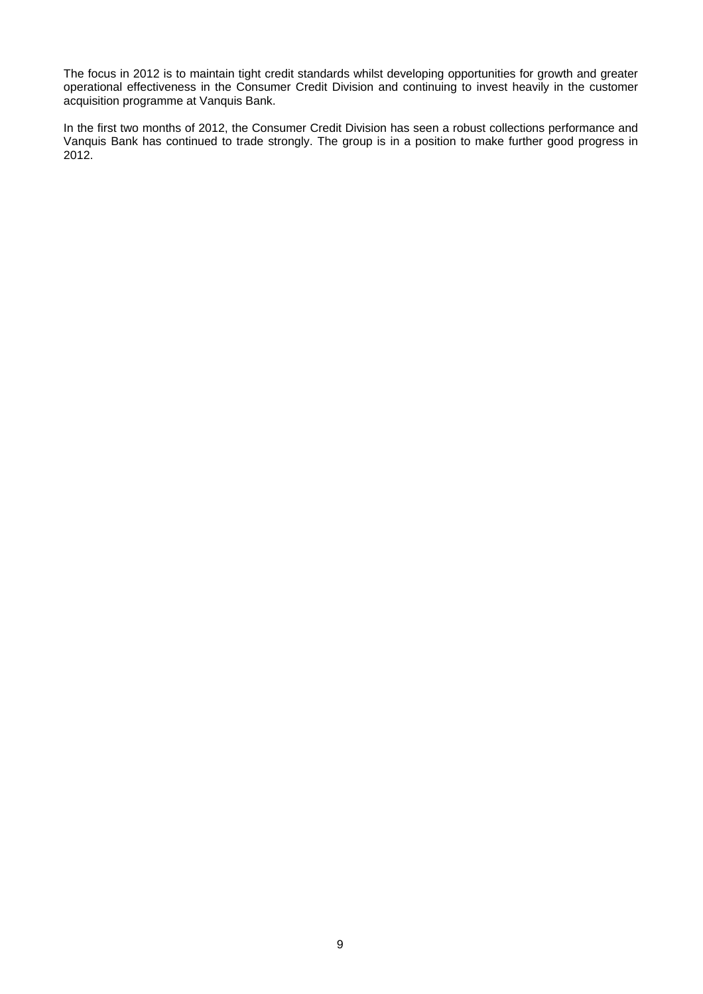The focus in 2012 is to maintain tight credit standards whilst developing opportunities for growth and greater operational effectiveness in the Consumer Credit Division and continuing to invest heavily in the customer acquisition programme at Vanquis Bank.

In the first two months of 2012, the Consumer Credit Division has seen a robust collections performance and Vanquis Bank has continued to trade strongly. The group is in a position to make further good progress in 2012.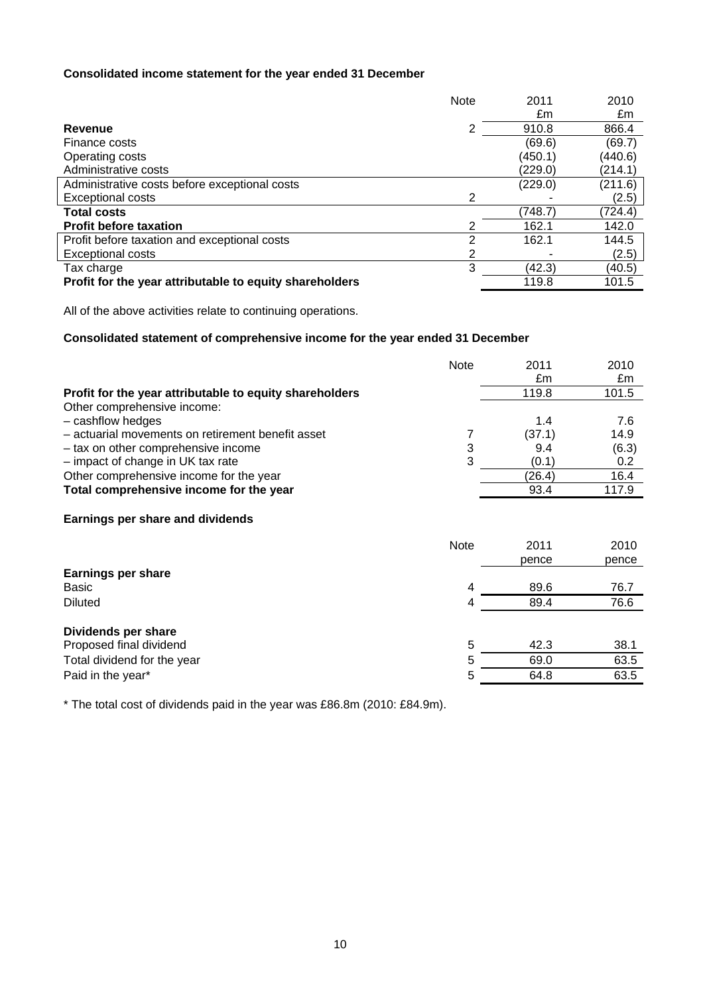# **Consolidated income statement for the year ended 31 December**

| 2011<br><b>Note</b>                                              | 2010    |
|------------------------------------------------------------------|---------|
| £m                                                               | £m      |
| 2<br>910.8<br>Revenue                                            | 866.4   |
| (69.6)<br>Finance costs                                          | (69.7)  |
| (450.1)<br>Operating costs                                       | (440.6) |
| Administrative costs<br>(229.0)                                  | (214.1) |
| Administrative costs before exceptional costs<br>(229.0)         | (211.6) |
| 2<br><b>Exceptional costs</b>                                    | (2.5)   |
| <b>Total costs</b><br>(748.7)                                    | (724.4) |
| <b>Profit before taxation</b><br>2<br>162.1                      | 142.0   |
| 2<br>Profit before taxation and exceptional costs<br>162.1       | 144.5   |
| <b>Exceptional costs</b><br>2                                    | (2.5)   |
| 3<br>(42.3)<br>Tax charge                                        | (40.5)  |
| 119.8<br>Profit for the year attributable to equity shareholders | 101.5   |

All of the above activities relate to continuing operations.

# **Consolidated statement of comprehensive income for the year ended 31 December**

|                                                         | Note        | 2011   | 2010  |
|---------------------------------------------------------|-------------|--------|-------|
|                                                         |             | £m     | £m    |
| Profit for the year attributable to equity shareholders |             | 119.8  | 101.5 |
| Other comprehensive income:                             |             |        |       |
| - cashflow hedges                                       |             | 1.4    | 7.6   |
| - actuarial movements on retirement benefit asset       | 7           | (37.1) | 14.9  |
| - tax on other comprehensive income                     | 3           | 9.4    | (6.3) |
| - impact of change in UK tax rate                       | 3           | (0.1)  | 0.2   |
| Other comprehensive income for the year                 |             | (26.4) | 16.4  |
| Total comprehensive income for the year                 |             | 93.4   | 117.9 |
|                                                         |             |        |       |
| Earnings per share and dividends                        |             |        |       |
|                                                         | <b>Note</b> | 2011   | 2010  |
|                                                         |             | pence  | pence |
| <b>Earnings per share</b>                               |             |        |       |
| Basic                                                   | 4           | 89.6   | 76.7  |
| <b>Diluted</b>                                          | 4           | 89.4   | 76.6  |
|                                                         |             |        |       |
| Dividends per share                                     |             |        |       |
| Proposed final dividend                                 | 5           | 42.3   | 38.1  |
| Total dividend for the year                             | 5           | 69.0   | 63.5  |
| Paid in the year*                                       | 5           | 64.8   | 63.5  |
|                                                         |             |        |       |

\* The total cost of dividends paid in the year was £86.8m (2010: £84.9m).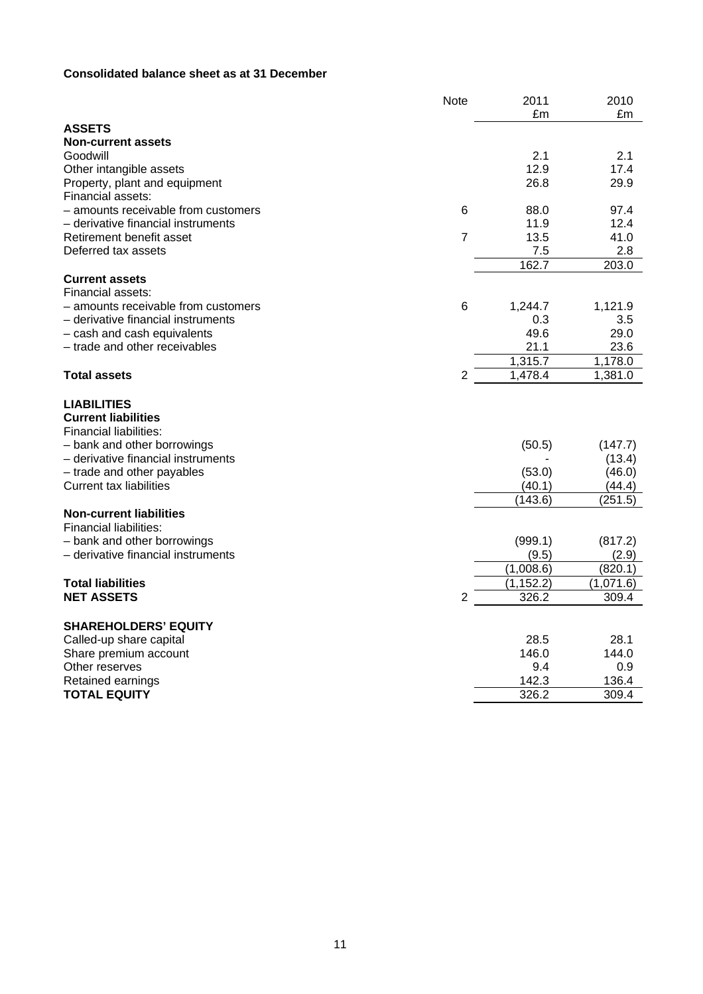# **Consolidated balance sheet as at 31 December**

|                                                                            | <b>Note</b>    | 2011             | 2010             |
|----------------------------------------------------------------------------|----------------|------------------|------------------|
|                                                                            |                | £m               | £m               |
| <b>ASSETS</b>                                                              |                |                  |                  |
| <b>Non-current assets</b>                                                  |                |                  |                  |
| Goodwill                                                                   |                | 2.1              | 2.1              |
| Other intangible assets                                                    |                | 12.9             | 17.4             |
| Property, plant and equipment                                              |                | 26.8             | 29.9             |
| Financial assets:                                                          |                |                  |                  |
| - amounts receivable from customers                                        | 6              | 88.0             | 97.4             |
| - derivative financial instruments                                         |                | 11.9             | 12.4             |
| Retirement benefit asset                                                   | $\overline{7}$ | 13.5             | 41.0             |
| Deferred tax assets                                                        |                | 7.5              | 2.8              |
|                                                                            |                | 162.7            | 203.0            |
| <b>Current assets</b>                                                      |                |                  |                  |
| Financial assets:                                                          |                |                  |                  |
| - amounts receivable from customers                                        | 6              | 1,244.7          | 1,121.9          |
| - derivative financial instruments                                         |                | 0.3              | 3.5              |
| - cash and cash equivalents                                                |                | 49.6             | 29.0             |
| - trade and other receivables                                              |                | 21.1             | 23.6             |
|                                                                            |                | 1,315.7          | 1,178.0          |
| <b>Total assets</b>                                                        | 2              | 1,478.4          | 1,381.0          |
| <b>LIABILITIES</b><br><b>Current liabilities</b><br>Financial liabilities: |                |                  |                  |
| - bank and other borrowings                                                |                | (50.5)           | (147.7)          |
| - derivative financial instruments                                         |                |                  | (13.4)           |
| - trade and other payables<br>Current tax liabilities                      |                | (53.0)<br>(40.1) | (46.0)<br>(44.4) |
|                                                                            |                | (143.6)          | (251.5)          |
| <b>Non-current liabilities</b><br><b>Financial liabilities:</b>            |                |                  |                  |
| - bank and other borrowings                                                |                | (999.1)          | (817.2)          |
| - derivative financial instruments                                         |                | (9.5)            | (2.9)            |
|                                                                            |                | (1,008.6)        | (820.1)          |
| <b>Total liabilities</b>                                                   |                | (1, 152.2)       | (1,071.6)        |
| <b>NET ASSETS</b>                                                          | $\overline{2}$ | 326.2            | 309.4            |
| <b>SHAREHOLDERS' EQUITY</b>                                                |                |                  |                  |
| Called-up share capital                                                    |                | 28.5             | 28.1             |
| Share premium account                                                      |                | 146.0            | 144.0            |
| Other reserves                                                             |                | 9.4              | 0.9              |
| Retained earnings                                                          |                | 142.3            | 136.4            |
| <b>TOTAL EQUITY</b>                                                        |                | 326.2            | 309.4            |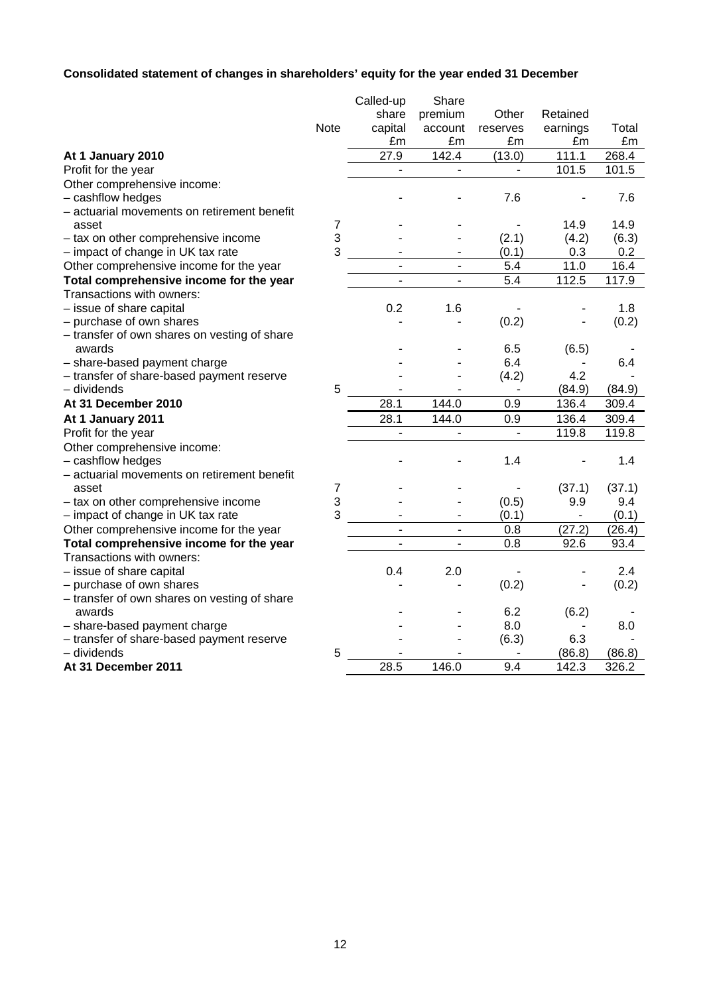# **Consolidated statement of changes in shareholders' equity for the year ended 31 December**

|                                              |                | Called-up                | Share                    |                          |                              |        |
|----------------------------------------------|----------------|--------------------------|--------------------------|--------------------------|------------------------------|--------|
|                                              |                | share                    | premium                  | Other                    | Retained                     |        |
|                                              | <b>Note</b>    | capital                  | account                  | reserves                 | earnings                     | Total  |
|                                              |                | £m                       | £m                       | £m                       | £m                           | £m     |
| At 1 January 2010                            |                | $\overline{27.9}$        | 142.4                    | (13.0)                   | 111.1                        | 268.4  |
| Profit for the year                          |                | $\overline{\phantom{a}}$ | $\blacksquare$           | $\overline{\phantom{0}}$ | 101.5                        | 101.5  |
| Other comprehensive income:                  |                |                          |                          |                          |                              |        |
| - cashflow hedges                            |                |                          |                          | 7.6                      |                              | 7.6    |
| - actuarial movements on retirement benefit  |                |                          |                          |                          |                              |        |
| asset                                        | $\overline{7}$ |                          |                          |                          | 14.9                         | 14.9   |
| - tax on other comprehensive income          | 3              |                          |                          | (2.1)                    | (4.2)                        | (6.3)  |
| - impact of change in UK tax rate            | 3              |                          |                          | (0.1)                    | 0.3                          | 0.2    |
| Other comprehensive income for the year      |                | ä,                       | $\overline{\phantom{a}}$ | 5.4                      | 11.0                         | 16.4   |
| Total comprehensive income for the year      |                |                          |                          | 5.4                      | 112.5                        | 117.9  |
| Transactions with owners:                    |                |                          |                          |                          |                              |        |
| - issue of share capital                     |                | 0.2                      | 1.6                      |                          |                              | 1.8    |
| - purchase of own shares                     |                |                          |                          | (0.2)                    |                              | (0.2)  |
| - transfer of own shares on vesting of share |                |                          |                          |                          |                              |        |
| awards                                       |                |                          |                          | 6.5                      | (6.5)                        |        |
| - share-based payment charge                 |                |                          |                          | 6.4                      |                              | 6.4    |
| - transfer of share-based payment reserve    |                |                          |                          | (4.2)                    | 4.2                          |        |
| – dividends                                  | 5              |                          |                          | $\blacksquare$           | (84.9)                       | (84.9) |
| At 31 December 2010                          |                | 28.1                     | 144.0                    | $\overline{0.9}$         | 136.4                        | 309.4  |
| At 1 January 2011                            |                | 28.1                     | 144.0                    | 0.9                      | 136.4                        | 309.4  |
| Profit for the year                          |                |                          |                          |                          | 119.8                        | 119.8  |
| Other comprehensive income:                  |                |                          |                          |                          |                              |        |
| - cashflow hedges                            |                |                          |                          | 1.4                      |                              | 1.4    |
| - actuarial movements on retirement benefit  |                |                          |                          |                          |                              |        |
| asset                                        | 7              |                          |                          |                          | (37.1)                       | (37.1) |
| - tax on other comprehensive income          | 3              |                          |                          | (0.5)                    | 9.9                          | 9.4    |
| - impact of change in UK tax rate            | 3              |                          | $\overline{\phantom{0}}$ | (0.1)                    | $\qquad \qquad \blacksquare$ | (0.1)  |
| Other comprehensive income for the year      |                | ä,                       | $\blacksquare$           | 0.8                      | (27.2)                       | (26.4) |
| Total comprehensive income for the year      |                | $\blacksquare$           | $\overline{\phantom{a}}$ | 0.8                      | 92.6                         | 93.4   |
| Transactions with owners:                    |                |                          |                          |                          |                              |        |
| - issue of share capital                     |                | 0.4                      | 2.0                      |                          |                              | 2.4    |
| - purchase of own shares                     |                |                          |                          | (0.2)                    |                              | (0.2)  |
| - transfer of own shares on vesting of share |                |                          |                          |                          |                              |        |
| awards                                       |                |                          |                          | 6.2                      | (6.2)                        |        |
| - share-based payment charge                 |                |                          |                          | 8.0                      |                              | 8.0    |
| - transfer of share-based payment reserve    |                |                          |                          | (6.3)                    | 6.3                          |        |
| - dividends                                  | 5              |                          |                          |                          | (86.8)                       | (86.8) |
| At 31 December 2011                          |                | 28.5                     | 146.0                    | $\overline{9.4}$         | 142.3                        | 326.2  |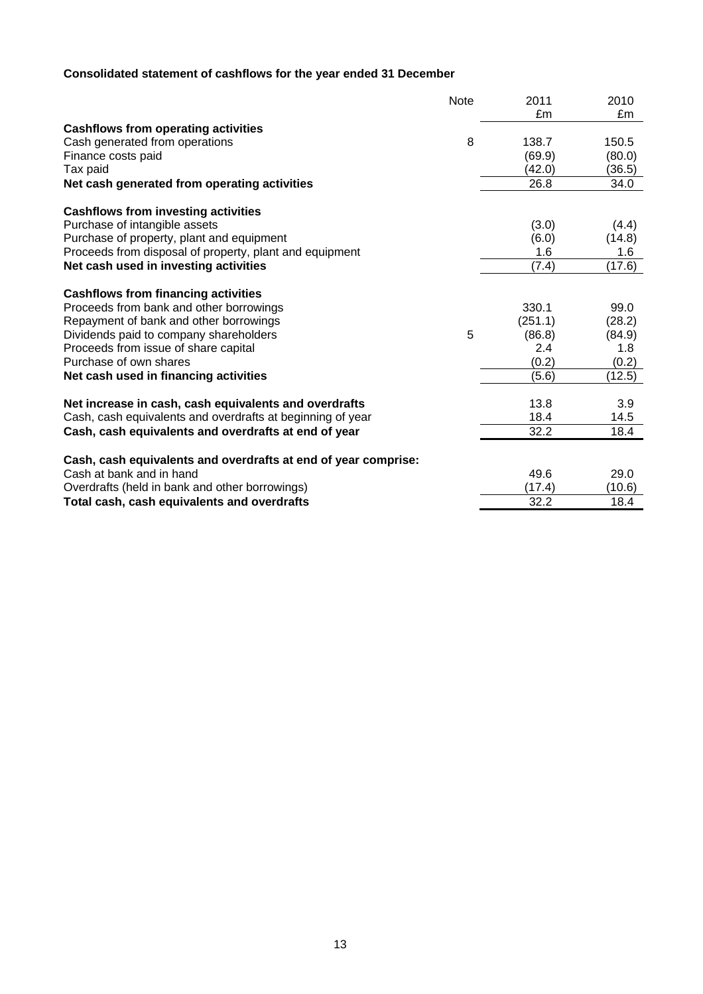# **Consolidated statement of cashflows for the year ended 31 December**

|                                                                | <b>Note</b> | 2011    | 2010   |
|----------------------------------------------------------------|-------------|---------|--------|
|                                                                |             | £m      | £m     |
| <b>Cashflows from operating activities</b>                     |             |         |        |
| Cash generated from operations                                 | 8           | 138.7   | 150.5  |
| Finance costs paid                                             |             | (69.9)  | (80.0) |
| Tax paid                                                       |             | (42.0)  | (36.5) |
| Net cash generated from operating activities                   |             | 26.8    | 34.0   |
| <b>Cashflows from investing activities</b>                     |             |         |        |
| Purchase of intangible assets                                  |             | (3.0)   | (4.4)  |
| Purchase of property, plant and equipment                      |             | (6.0)   | (14.8) |
| Proceeds from disposal of property, plant and equipment        |             | 1.6     | 1.6    |
| Net cash used in investing activities                          |             | (7.4)   | (17.6) |
| <b>Cashflows from financing activities</b>                     |             |         |        |
| Proceeds from bank and other borrowings                        |             | 330.1   | 99.0   |
| Repayment of bank and other borrowings                         |             | (251.1) | (28.2) |
| Dividends paid to company shareholders                         | 5           | (86.8)  | (84.9) |
| Proceeds from issue of share capital                           |             | 2.4     | 1.8    |
| Purchase of own shares                                         |             | (0.2)   | (0.2)  |
| Net cash used in financing activities                          |             | (5.6)   | (12.5) |
| Net increase in cash, cash equivalents and overdrafts          |             | 13.8    | 3.9    |
| Cash, cash equivalents and overdrafts at beginning of year     |             | 18.4    | 14.5   |
| Cash, cash equivalents and overdrafts at end of year           |             | 32.2    | 18.4   |
|                                                                |             |         |        |
| Cash, cash equivalents and overdrafts at end of year comprise: |             |         |        |
| Cash at bank and in hand                                       |             | 49.6    | 29.0   |
| Overdrafts (held in bank and other borrowings)                 |             | (17.4)  | (10.6) |
| Total cash, cash equivalents and overdrafts                    |             | 32.2    | 18.4   |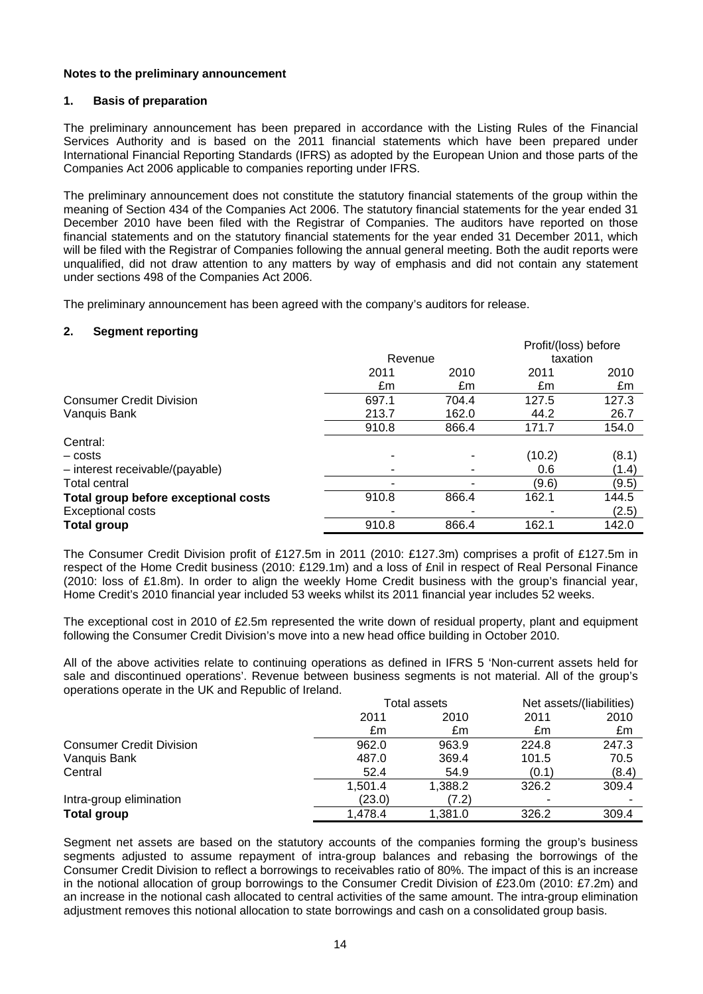#### **Notes to the preliminary announcement**

#### **1. Basis of preparation**

The preliminary announcement has been prepared in accordance with the Listing Rules of the Financial Services Authority and is based on the 2011 financial statements which have been prepared under International Financial Reporting Standards (IFRS) as adopted by the European Union and those parts of the Companies Act 2006 applicable to companies reporting under IFRS.

The preliminary announcement does not constitute the statutory financial statements of the group within the meaning of Section 434 of the Companies Act 2006. The statutory financial statements for the year ended 31 December 2010 have been filed with the Registrar of Companies. The auditors have reported on those financial statements and on the statutory financial statements for the year ended 31 December 2011, which will be filed with the Registrar of Companies following the annual general meeting. Both the audit reports were unqualified, did not draw attention to any matters by way of emphasis and did not contain any statement under sections 498 of the Companies Act 2006.

The preliminary announcement has been agreed with the company's auditors for release.

# **2. Segment reporting**

|                                      |         |       | Profit/(loss) before |       |
|--------------------------------------|---------|-------|----------------------|-------|
|                                      | Revenue |       | taxation             |       |
|                                      | 2011    | 2010  | 2011                 | 2010  |
|                                      | £m      | £m    | £m                   | £m    |
| <b>Consumer Credit Division</b>      | 697.1   | 704.4 | 127.5                | 127.3 |
| Vanquis Bank                         | 213.7   | 162.0 | 44.2                 | 26.7  |
|                                      | 910.8   | 866.4 | 171.7                | 154.0 |
| Central:                             |         |       |                      |       |
| – costs                              | ۰       |       | (10.2)               | (8.1) |
| - interest receivable/(payable)      |         |       | 0.6                  | (1.4) |
| Total central                        |         |       | (9.6)                | (9.5) |
| Total group before exceptional costs | 910.8   | 866.4 | 162.1                | 144.5 |
| <b>Exceptional costs</b>             |         |       |                      | (2.5) |
| <b>Total group</b>                   | 910.8   | 866.4 | 162.1                | 142.0 |

The Consumer Credit Division profit of £127.5m in 2011 (2010: £127.3m) comprises a profit of £127.5m in respect of the Home Credit business (2010: £129.1m) and a loss of £nil in respect of Real Personal Finance (2010: loss of £1.8m). In order to align the weekly Home Credit business with the group's financial year, Home Credit's 2010 financial year included 53 weeks whilst its 2011 financial year includes 52 weeks.

The exceptional cost in 2010 of £2.5m represented the write down of residual property, plant and equipment following the Consumer Credit Division's move into a new head office building in October 2010.

All of the above activities relate to continuing operations as defined in IFRS 5 'Non-current assets held for sale and discontinued operations'. Revenue between business segments is not material. All of the group's operations operate in the UK and Republic of Ireland.

|                                 |         | Total assets |       | Net assets/(liabilities) |
|---------------------------------|---------|--------------|-------|--------------------------|
|                                 | 2011    | 2010         | 2011  | 2010                     |
|                                 | £m      | £m           | £m    | £m                       |
| <b>Consumer Credit Division</b> | 962.0   | 963.9        | 224.8 | 247.3                    |
| Vanquis Bank                    | 487.0   | 369.4        | 101.5 | 70.5                     |
| Central                         | 52.4    | 54.9         | (0.1) | (8.4)                    |
|                                 | 1.501.4 | 1.388.2      | 326.2 | 309.4                    |
| Intra-group elimination         | (23.0)  | (7.2)        |       |                          |
| <b>Total group</b>              | 1.478.4 | 1.381.0      | 326.2 | 309.4                    |

Segment net assets are based on the statutory accounts of the companies forming the group's business segments adjusted to assume repayment of intra-group balances and rebasing the borrowings of the Consumer Credit Division to reflect a borrowings to receivables ratio of 80%. The impact of this is an increase in the notional allocation of group borrowings to the Consumer Credit Division of £23.0m (2010: £7.2m) and an increase in the notional cash allocated to central activities of the same amount. The intra-group elimination adjustment removes this notional allocation to state borrowings and cash on a consolidated group basis.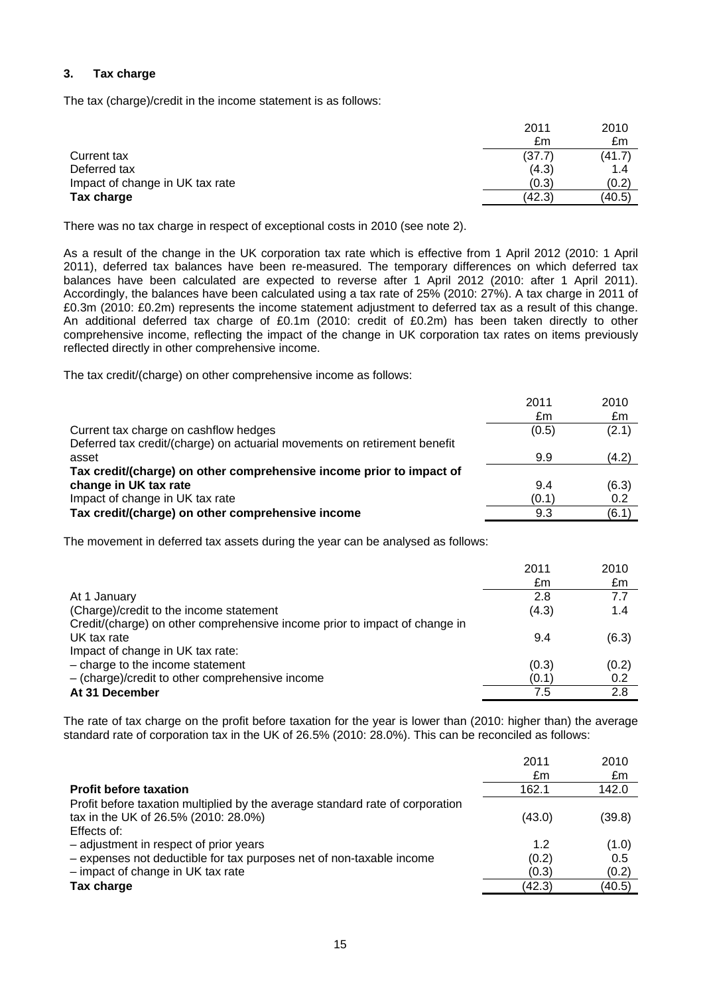# **3. Tax charge**

The tax (charge)/credit in the income statement is as follows:

|                                 | 2011   | 2010   |
|---------------------------------|--------|--------|
|                                 | £m     | £m     |
| Current tax                     | (37.7) | (41.7) |
| Deferred tax                    | (4.3)  | 1.4    |
| Impact of change in UK tax rate | (0.3)  | (0.2)  |
| Tax charge                      | (42.3) | (40.5) |

There was no tax charge in respect of exceptional costs in 2010 (see note 2).

As a result of the change in the UK corporation tax rate which is effective from 1 April 2012 (2010: 1 April 2011), deferred tax balances have been re-measured. The temporary differences on which deferred tax balances have been calculated are expected to reverse after 1 April 2012 (2010: after 1 April 2011). Accordingly, the balances have been calculated using a tax rate of 25% (2010: 27%). A tax charge in 2011 of £0.3m (2010: £0.2m) represents the income statement adjustment to deferred tax as a result of this change. An additional deferred tax charge of £0.1m (2010: credit of £0.2m) has been taken directly to other comprehensive income, reflecting the impact of the change in UK corporation tax rates on items previously reflected directly in other comprehensive income.

The tax credit/(charge) on other comprehensive income as follows:

|                                                                           | 2011  | 2010  |
|---------------------------------------------------------------------------|-------|-------|
|                                                                           | £m    | £m    |
| Current tax charge on cashflow hedges                                     | (0.5) | (2.1) |
| Deferred tax credit/(charge) on actuarial movements on retirement benefit |       |       |
| asset                                                                     | 9.9   | (4.2) |
| Tax credit/(charge) on other comprehensive income prior to impact of      |       |       |
| change in UK tax rate                                                     | 9.4   | (6.3) |
| Impact of change in UK tax rate                                           | (0.1) | 0.2   |
| Tax credit/(charge) on other comprehensive income                         | 9.3   | (6.1) |

The movement in deferred tax assets during the year can be analysed as follows:

|                                                                            | 2011  | 2010  |
|----------------------------------------------------------------------------|-------|-------|
|                                                                            | £m    | £m    |
| At 1 January                                                               | 2.8   | 7.7   |
| (Charge)/credit to the income statement                                    | (4.3) | 1.4   |
| Credit/(charge) on other comprehensive income prior to impact of change in |       |       |
| UK tax rate                                                                | 9.4   | (6.3) |
| Impact of change in UK tax rate:                                           |       |       |
| - charge to the income statement                                           | (0.3) | (0.2) |
| $-$ (charge)/credit to other comprehensive income                          | (0.1) | 0.2   |
| At 31 December                                                             | 7.5   | 2.8   |

The rate of tax charge on the profit before taxation for the year is lower than (2010: higher than) the average standard rate of corporation tax in the UK of 26.5% (2010: 28.0%). This can be reconciled as follows:

|                                                                               | 2011   | 2010   |
|-------------------------------------------------------------------------------|--------|--------|
|                                                                               | £m     | £m     |
| <b>Profit before taxation</b>                                                 | 162.1  | 142.0  |
| Profit before taxation multiplied by the average standard rate of corporation |        |        |
| tax in the UK of 26.5% (2010: 28.0%)                                          | (43.0) | (39.8) |
| Effects of:                                                                   |        |        |
| - adjustment in respect of prior years                                        | 1.2    | (1.0)  |
| - expenses not deductible for tax purposes net of non-taxable income          | (0.2)  | 0.5    |
| $-$ impact of change in UK tax rate                                           | (0.3)  | (0.2)  |
| Tax charge                                                                    | (42.3) | (40.5) |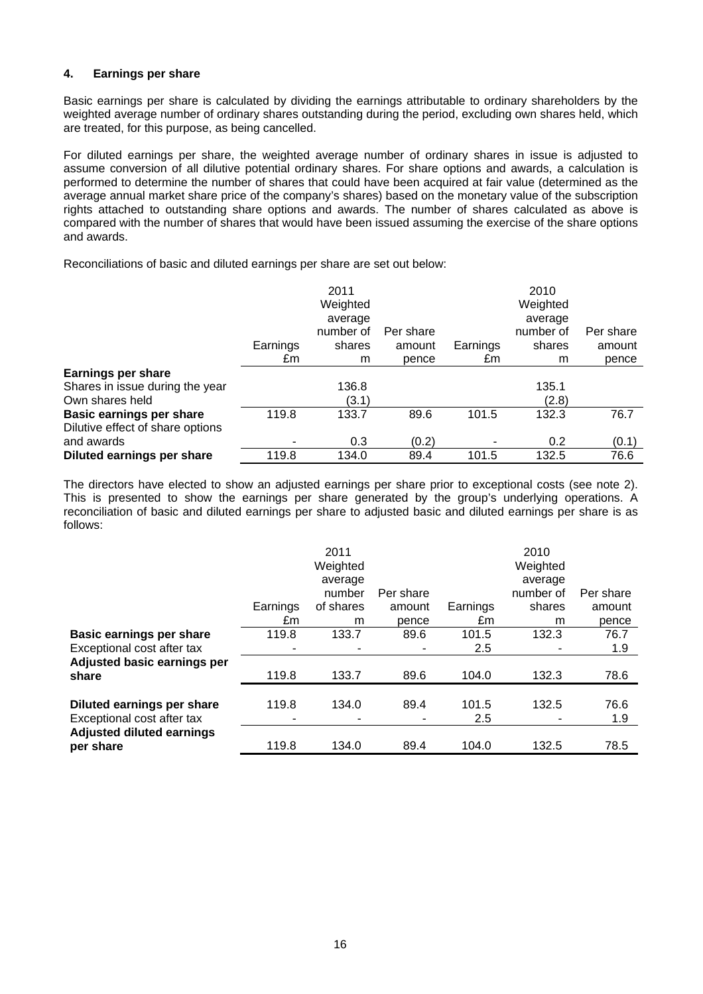# **4. Earnings per share**

Basic earnings per share is calculated by dividing the earnings attributable to ordinary shareholders by the weighted average number of ordinary shares outstanding during the period, excluding own shares held, which are treated, for this purpose, as being cancelled.

For diluted earnings per share, the weighted average number of ordinary shares in issue is adjusted to assume conversion of all dilutive potential ordinary shares. For share options and awards, a calculation is performed to determine the number of shares that could have been acquired at fair value (determined as the average annual market share price of the company's shares) based on the monetary value of the subscription rights attached to outstanding share options and awards. The number of shares calculated as above is compared with the number of shares that would have been issued assuming the exercise of the share options and awards.

Reconciliations of basic and diluted earnings per share are set out below:

|                                                                     |          | 2011<br>Weighted     |           |          | 2010<br>Weighted     |           |
|---------------------------------------------------------------------|----------|----------------------|-----------|----------|----------------------|-----------|
|                                                                     |          | average<br>number of | Per share |          | average<br>number of | Per share |
|                                                                     | Earnings | shares               | amount    | Earnings | shares               | amount    |
|                                                                     | £m       | m                    | pence     | £m       | m                    | pence     |
| <b>Earnings per share</b>                                           |          |                      |           |          |                      |           |
| Shares in issue during the year                                     |          | 136.8                |           |          | 135.1                |           |
| Own shares held                                                     |          | (3.1)                |           |          | (2.8)                |           |
| <b>Basic earnings per share</b><br>Dilutive effect of share options | 119.8    | 133.7                | 89.6      | 101.5    | 132.3                | 76.7      |
| and awards                                                          |          | 0.3                  | (0.2)     |          | 0.2                  | (0.1)     |
| Diluted earnings per share                                          | 119.8    | 134.0                | 89.4      | 101.5    | 132.5                | 76.6      |

The directors have elected to show an adjusted earnings per share prior to exceptional costs (see note 2). This is presented to show the earnings per share generated by the group's underlying operations. A reconciliation of basic and diluted earnings per share to adjusted basic and diluted earnings per share is as follows:

|                                  |          | 2011      |           |          | 2010      |           |
|----------------------------------|----------|-----------|-----------|----------|-----------|-----------|
|                                  |          | Weighted  |           |          | Weighted  |           |
|                                  |          | average   |           |          | average   |           |
|                                  |          | number    | Per share |          | number of | Per share |
|                                  | Earnings | of shares | amount    | Earnings | shares    | amount    |
|                                  | £m       | m         | pence     | £m       | m         | pence     |
| <b>Basic earnings per share</b>  | 119.8    | 133.7     | 89.6      | 101.5    | 132.3     | 76.7      |
| Exceptional cost after tax       |          |           | ٠         | 2.5      |           | 1.9       |
| Adjusted basic earnings per      |          |           |           |          |           |           |
| share                            | 119.8    | 133.7     | 89.6      | 104.0    | 132.3     | 78.6      |
|                                  |          |           |           |          |           |           |
| Diluted earnings per share       | 119.8    | 134.0     | 89.4      | 101.5    | 132.5     | 76.6      |
| Exceptional cost after tax       |          |           |           | 2.5      |           | 1.9       |
| <b>Adjusted diluted earnings</b> |          |           |           |          |           |           |
| per share                        | 119.8    | 134.0     | 89.4      | 104.0    | 132.5     | 78.5      |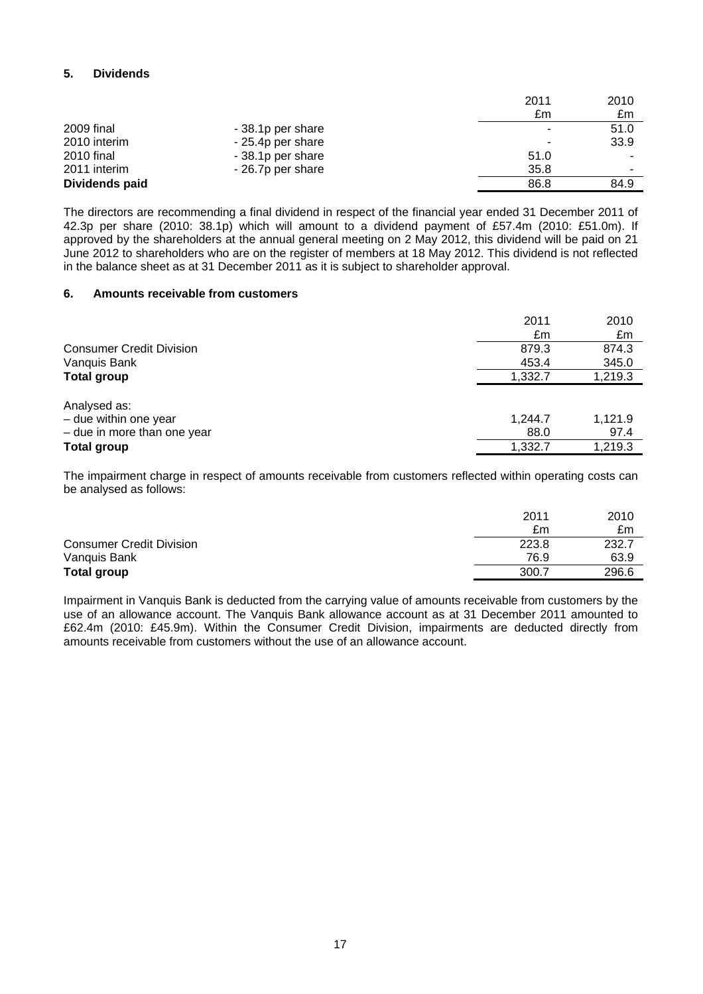# **5. Dividends**

|                |                   | 2011 | 2010                     |
|----------------|-------------------|------|--------------------------|
|                |                   | £m   | £m                       |
| 2009 final     | -38.1p per share  |      | 51.0                     |
| 2010 interim   | - 25.4p per share |      | 33.9                     |
| 2010 final     | - 38.1p per share | 51.0 | -                        |
| 2011 interim   | - 26.7p per share | 35.8 | $\overline{\phantom{a}}$ |
| Dividends paid |                   | 86.8 | 84.9                     |

The directors are recommending a final dividend in respect of the financial year ended 31 December 2011 of 42.3p per share (2010: 38.1p) which will amount to a dividend payment of £57.4m (2010: £51.0m). If approved by the shareholders at the annual general meeting on 2 May 2012, this dividend will be paid on 21 June 2012 to shareholders who are on the register of members at 18 May 2012. This dividend is not reflected in the balance sheet as at 31 December 2011 as it is subject to shareholder approval.

# **6. Amounts receivable from customers**

|                                 | 2011<br>£m | 2010<br>£m |
|---------------------------------|------------|------------|
| <b>Consumer Credit Division</b> | 879.3      | 874.3      |
| Vanquis Bank                    | 453.4      | 345.0      |
| <b>Total group</b>              | 1,332.7    | 1,219.3    |
| Analysed as:                    |            |            |
| - due within one year           | 1,244.7    | 1,121.9    |
| $-$ due in more than one year   | 88.0       | 97.4       |
| <b>Total group</b>              | 1,332.7    | 1,219.3    |

The impairment charge in respect of amounts receivable from customers reflected within operating costs can be analysed as follows:

|                                 | 2011  | 2010  |
|---------------------------------|-------|-------|
|                                 | £m    | £m    |
| <b>Consumer Credit Division</b> | 223.8 | 232.7 |
| Vanquis Bank                    | 76.9  | 63.9  |
| <b>Total group</b>              | 300.7 | 296.6 |
|                                 |       |       |

Impairment in Vanquis Bank is deducted from the carrying value of amounts receivable from customers by the use of an allowance account. The Vanquis Bank allowance account as at 31 December 2011 amounted to £62.4m (2010: £45.9m). Within the Consumer Credit Division, impairments are deducted directly from amounts receivable from customers without the use of an allowance account.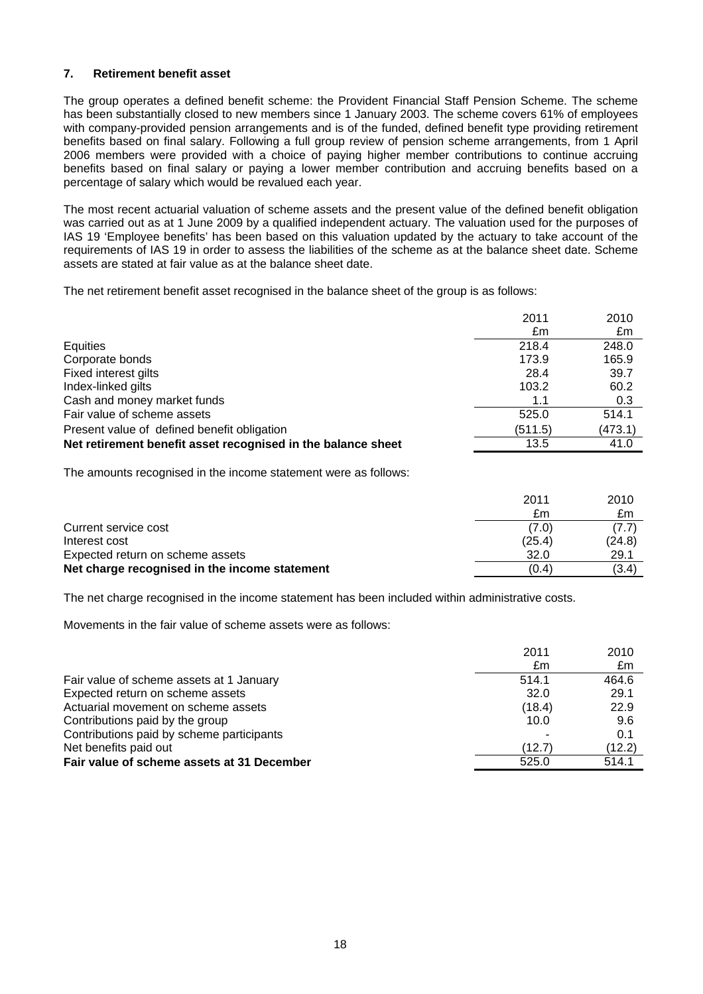# **7. Retirement benefit asset**

The group operates a defined benefit scheme: the Provident Financial Staff Pension Scheme. The scheme has been substantially closed to new members since 1 January 2003. The scheme covers 61% of employees with company-provided pension arrangements and is of the funded, defined benefit type providing retirement benefits based on final salary. Following a full group review of pension scheme arrangements, from 1 April 2006 members were provided with a choice of paying higher member contributions to continue accruing benefits based on final salary or paying a lower member contribution and accruing benefits based on a percentage of salary which would be revalued each year.

The most recent actuarial valuation of scheme assets and the present value of the defined benefit obligation was carried out as at 1 June 2009 by a qualified independent actuary. The valuation used for the purposes of IAS 19 'Employee benefits' has been based on this valuation updated by the actuary to take account of the requirements of IAS 19 in order to assess the liabilities of the scheme as at the balance sheet date. Scheme assets are stated at fair value as at the balance sheet date.

The net retirement benefit asset recognised in the balance sheet of the group is as follows:

|                                                              | 2011    | 2010    |
|--------------------------------------------------------------|---------|---------|
|                                                              | £m      | £m      |
| Equities                                                     | 218.4   | 248.0   |
| Corporate bonds                                              | 173.9   | 165.9   |
| Fixed interest gilts                                         | 28.4    | 39.7    |
| Index-linked gilts                                           | 103.2   | 60.2    |
| Cash and money market funds                                  | 1.1     | 0.3     |
| Fair value of scheme assets                                  | 525.0   | 514.1   |
| Present value of defined benefit obligation                  | (511.5) | (473.1) |
| Net retirement benefit asset recognised in the balance sheet | 13.5    | 41.0    |

The amounts recognised in the income statement were as follows:

|                                               | 2011   | 2010   |
|-----------------------------------------------|--------|--------|
|                                               | £m     | £m     |
| Current service cost                          | (7.0)  | (7.7)  |
| Interest cost                                 | (25.4) | (24.8) |
| Expected return on scheme assets              | 32.0   | 29.1   |
| Net charge recognised in the income statement | (0.4)  | (3.4)  |

The net charge recognised in the income statement has been included within administrative costs.

Movements in the fair value of scheme assets were as follows:

|                                            | 2011<br>£m | 2010<br>£m |
|--------------------------------------------|------------|------------|
| Fair value of scheme assets at 1 January   | 514.1      | 464.6      |
| Expected return on scheme assets           | 32.0       | 29.1       |
| Actuarial movement on scheme assets        | (18.4)     | 22.9       |
| Contributions paid by the group            | 10.0       | 9.6        |
| Contributions paid by scheme participants  |            | 0.1        |
| Net benefits paid out                      | (12.7)     | (12.2)     |
| Fair value of scheme assets at 31 December | 525.0      | 514.1      |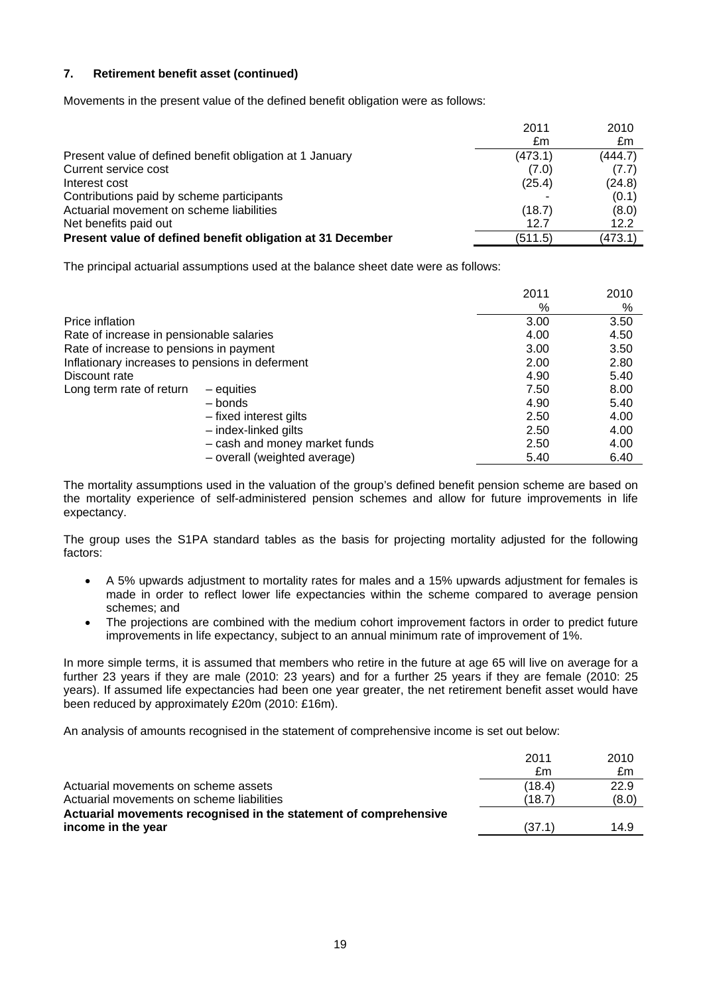# **7. Retirement benefit asset (continued)**

Movements in the present value of the defined benefit obligation were as follows:

|                                                            | 2011    | 2010    |
|------------------------------------------------------------|---------|---------|
|                                                            | £m      | £m      |
| Present value of defined benefit obligation at 1 January   | (473.1) | (444.7) |
| Current service cost                                       | (7.0)   | (7.7)   |
| Interest cost                                              | (25.4)  | (24.8)  |
| Contributions paid by scheme participants                  |         | (0.1)   |
| Actuarial movement on scheme liabilities                   | (18.7)  | (8.0)   |
| Net benefits paid out                                      | 12.7    | 12.2    |
| Present value of defined benefit obligation at 31 December | (511.5) | (473.1) |

The principal actuarial assumptions used at the balance sheet date were as follows:

|                                                 |                               | 2011 | 2010 |
|-------------------------------------------------|-------------------------------|------|------|
|                                                 |                               | %    | %    |
| Price inflation                                 |                               | 3.00 | 3.50 |
| Rate of increase in pensionable salaries        |                               | 4.00 | 4.50 |
| Rate of increase to pensions in payment         |                               | 3.00 | 3.50 |
| Inflationary increases to pensions in deferment |                               | 2.00 | 2.80 |
| Discount rate                                   |                               | 4.90 | 5.40 |
| Long term rate of return                        | $-$ equities                  | 7.50 | 8.00 |
|                                                 | – bonds                       | 4.90 | 5.40 |
|                                                 | - fixed interest gilts        | 2.50 | 4.00 |
|                                                 | - index-linked gilts          | 2.50 | 4.00 |
|                                                 | - cash and money market funds | 2.50 | 4.00 |
|                                                 | - overall (weighted average)  | 5.40 | 6.40 |

The mortality assumptions used in the valuation of the group's defined benefit pension scheme are based on the mortality experience of self-administered pension schemes and allow for future improvements in life expectancy.

The group uses the S1PA standard tables as the basis for projecting mortality adjusted for the following factors:

- A 5% upwards adjustment to mortality rates for males and a 15% upwards adjustment for females is made in order to reflect lower life expectancies within the scheme compared to average pension schemes; and
- The projections are combined with the medium cohort improvement factors in order to predict future improvements in life expectancy, subject to an annual minimum rate of improvement of 1%.

In more simple terms, it is assumed that members who retire in the future at age 65 will live on average for a further 23 years if they are male (2010: 23 years) and for a further 25 years if they are female (2010: 25 years). If assumed life expectancies had been one year greater, the net retirement benefit asset would have been reduced by approximately £20m (2010: £16m).

An analysis of amounts recognised in the statement of comprehensive income is set out below:

| 2010  |
|-------|
| £m    |
| 22.9  |
| (8.0) |
|       |
| 14.9  |
|       |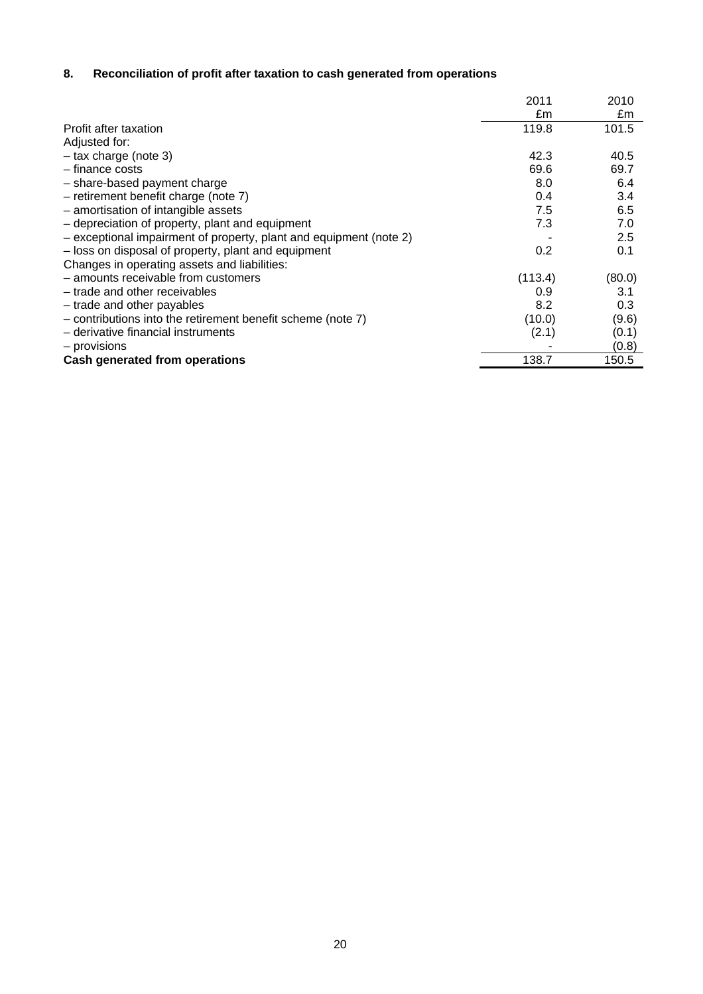# **8. Reconciliation of profit after taxation to cash generated from operations**

|                                                                    | 2011    | 2010   |
|--------------------------------------------------------------------|---------|--------|
|                                                                    | £m      | £m     |
| Profit after taxation                                              | 119.8   | 101.5  |
| Adjusted for:                                                      |         |        |
| $-$ tax charge (note 3)                                            | 42.3    | 40.5   |
| - finance costs                                                    | 69.6    | 69.7   |
| - share-based payment charge                                       | 8.0     | 6.4    |
| - retirement benefit charge (note 7)                               | 0.4     | 3.4    |
| - amortisation of intangible assets                                | 7.5     | 6.5    |
| - depreciation of property, plant and equipment                    | 7.3     | 7.0    |
| - exceptional impairment of property, plant and equipment (note 2) |         | 2.5    |
| - loss on disposal of property, plant and equipment                | 0.2     | 0.1    |
| Changes in operating assets and liabilities:                       |         |        |
| - amounts receivable from customers                                | (113.4) | (80.0) |
| - trade and other receivables                                      | 0.9     | 3.1    |
| - trade and other payables                                         | 8.2     | 0.3    |
| - contributions into the retirement benefit scheme (note 7)        | (10.0)  | (9.6)  |
| - derivative financial instruments                                 | (2.1)   | (0.1)  |
| - provisions                                                       |         | (0.8)  |
| <b>Cash generated from operations</b>                              | 138.7   | 150.5  |